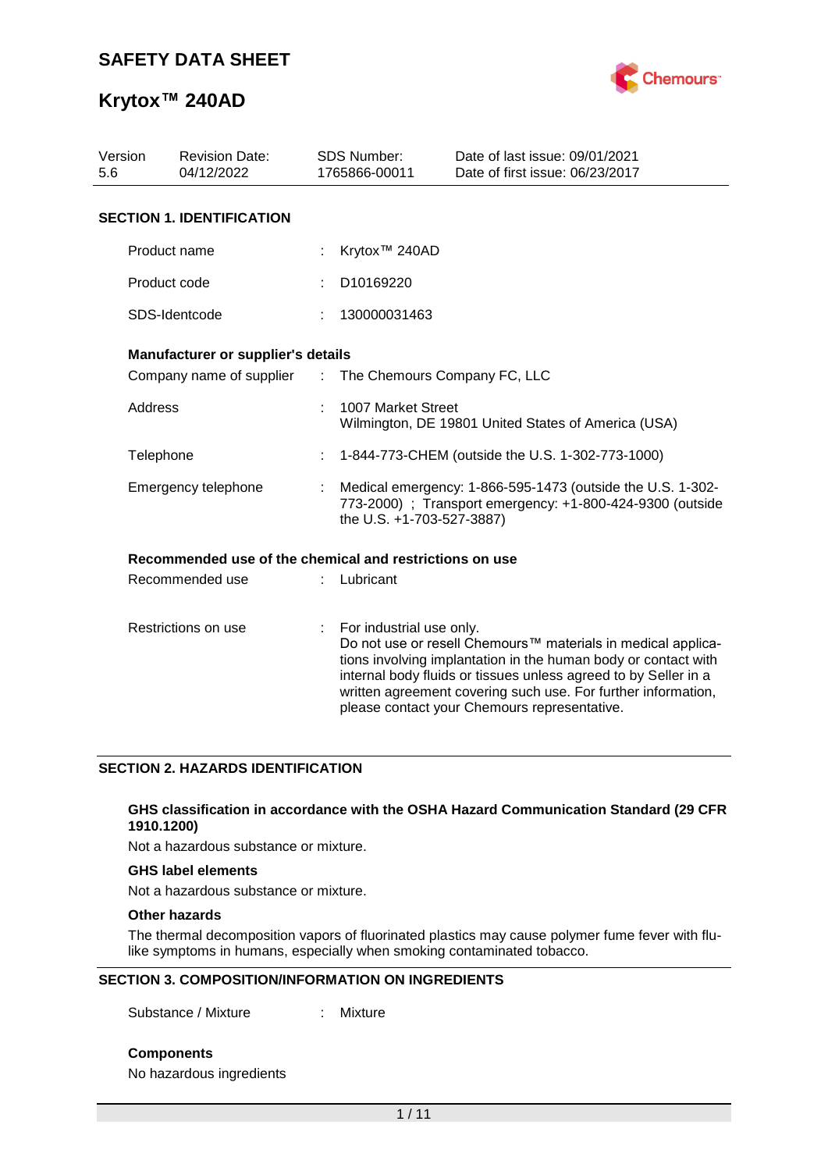

| Version<br><b>Revision Date:</b><br>04/12/2022<br>5.6 |                                                         |    | SDS Number:<br>1765866-00011                                                                                                                         | Date of last issue: 09/01/2021<br>Date of first issue: 06/23/2017                                                                                                                                                                                                                                                  |  |  |  |  |
|-------------------------------------------------------|---------------------------------------------------------|----|------------------------------------------------------------------------------------------------------------------------------------------------------|--------------------------------------------------------------------------------------------------------------------------------------------------------------------------------------------------------------------------------------------------------------------------------------------------------------------|--|--|--|--|
|                                                       | <b>SECTION 1. IDENTIFICATION</b>                        |    |                                                                                                                                                      |                                                                                                                                                                                                                                                                                                                    |  |  |  |  |
|                                                       | Product name                                            |    | Krytox <sup>™</sup> 240AD                                                                                                                            |                                                                                                                                                                                                                                                                                                                    |  |  |  |  |
|                                                       | Product code                                            |    | D10169220                                                                                                                                            |                                                                                                                                                                                                                                                                                                                    |  |  |  |  |
|                                                       | SDS-Identcode                                           |    | 130000031463                                                                                                                                         |                                                                                                                                                                                                                                                                                                                    |  |  |  |  |
|                                                       | Manufacturer or supplier's details                      |    |                                                                                                                                                      |                                                                                                                                                                                                                                                                                                                    |  |  |  |  |
|                                                       | Company name of supplier :                              |    | The Chemours Company FC, LLC                                                                                                                         |                                                                                                                                                                                                                                                                                                                    |  |  |  |  |
|                                                       | Address                                                 |    | 1007 Market Street<br>Wilmington, DE 19801 United States of America (USA)                                                                            |                                                                                                                                                                                                                                                                                                                    |  |  |  |  |
|                                                       | Telephone                                               |    | 1-844-773-CHEM (outside the U.S. 1-302-773-1000)                                                                                                     |                                                                                                                                                                                                                                                                                                                    |  |  |  |  |
|                                                       | Emergency telephone                                     |    | Medical emergency: 1-866-595-1473 (outside the U.S. 1-302-<br>773-2000) ; Transport emergency: +1-800-424-9300 (outside<br>the U.S. +1-703-527-3887) |                                                                                                                                                                                                                                                                                                                    |  |  |  |  |
|                                                       | Recommended use of the chemical and restrictions on use |    |                                                                                                                                                      |                                                                                                                                                                                                                                                                                                                    |  |  |  |  |
|                                                       | Recommended use                                         |    | Lubricant                                                                                                                                            |                                                                                                                                                                                                                                                                                                                    |  |  |  |  |
| Restrictions on use                                   |                                                         | t. | For industrial use only.                                                                                                                             | Do not use or resell Chemours™ materials in medical applica-<br>tions involving implantation in the human body or contact with<br>internal body fluids or tissues unless agreed to by Seller in a<br>written agreement covering such use. For further information,<br>please contact your Chemours representative. |  |  |  |  |

### **SECTION 2. HAZARDS IDENTIFICATION**

#### **GHS classification in accordance with the OSHA Hazard Communication Standard (29 CFR 1910.1200)**

Not a hazardous substance or mixture.

#### **GHS label elements**

Not a hazardous substance or mixture.

### **Other hazards**

The thermal decomposition vapors of fluorinated plastics may cause polymer fume fever with flulike symptoms in humans, especially when smoking contaminated tobacco.

#### **SECTION 3. COMPOSITION/INFORMATION ON INGREDIENTS**

Substance / Mixture : Mixture

**Components**

No hazardous ingredients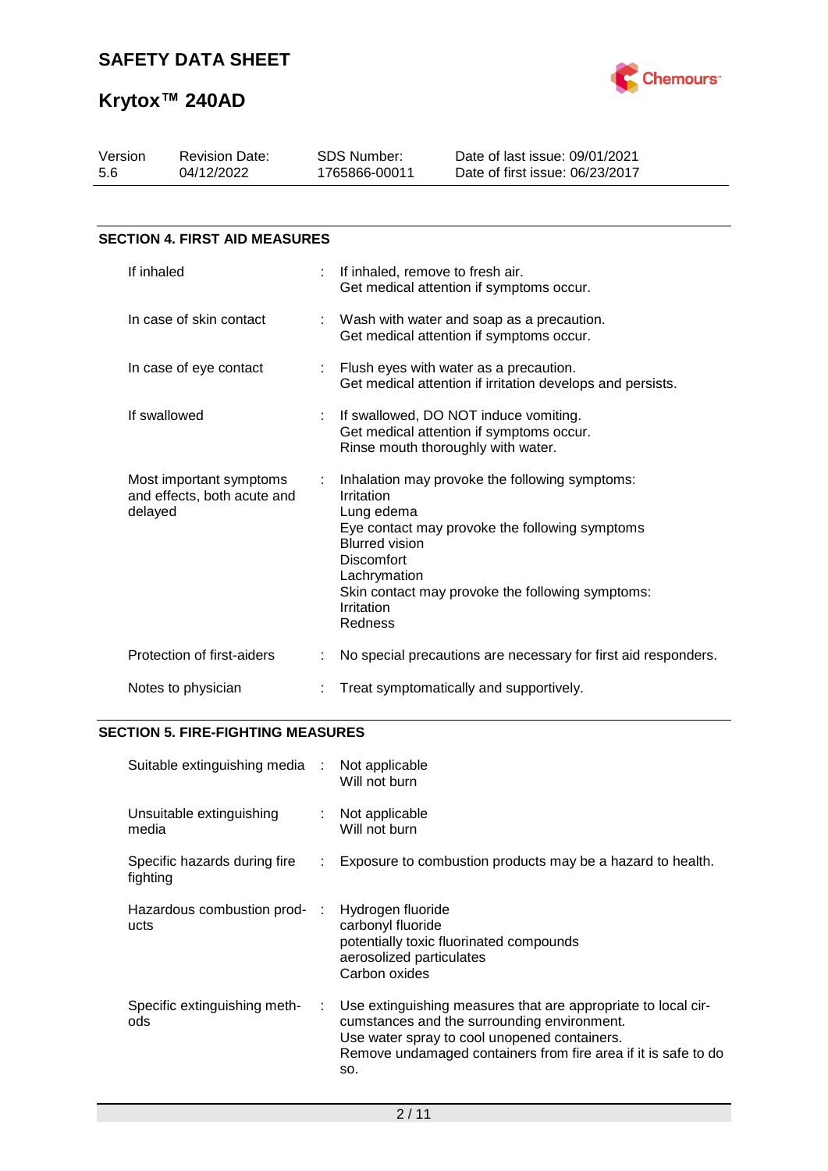

| Version<br>5.6          | <b>Revision Date:</b><br>04/12/2022                               |    | <b>SDS Number:</b><br>1765866-00011                                                                             | Date of last issue: 09/01/2021<br>Date of first issue: 06/23/2017                                                                                    |  |
|-------------------------|-------------------------------------------------------------------|----|-----------------------------------------------------------------------------------------------------------------|------------------------------------------------------------------------------------------------------------------------------------------------------|--|
|                         |                                                                   |    |                                                                                                                 |                                                                                                                                                      |  |
|                         | <b>SECTION 4. FIRST AID MEASURES</b>                              |    |                                                                                                                 |                                                                                                                                                      |  |
|                         | If inhaled                                                        | ÷. | If inhaled, remove to fresh air.                                                                                | Get medical attention if symptoms occur.                                                                                                             |  |
| In case of skin contact |                                                                   |    |                                                                                                                 | Wash with water and soap as a precaution.<br>Get medical attention if symptoms occur.                                                                |  |
| In case of eye contact  |                                                                   |    | : Flush eyes with water as a precaution.<br>Get medical attention if irritation develops and persists.          |                                                                                                                                                      |  |
|                         | If swallowed                                                      |    |                                                                                                                 | If swallowed, DO NOT induce vomiting.<br>Get medical attention if symptoms occur.<br>Rinse mouth thoroughly with water.                              |  |
|                         | Most important symptoms<br>and effects, both acute and<br>delayed | ÷  | Irritation<br>Lung edema<br><b>Blurred vision</b><br><b>Discomfort</b><br>Lachrymation<br>Irritation<br>Redness | Inhalation may provoke the following symptoms:<br>Eye contact may provoke the following symptoms<br>Skin contact may provoke the following symptoms: |  |
|                         | Protection of first-aiders                                        |    |                                                                                                                 | No special precautions are necessary for first aid responders.                                                                                       |  |
|                         | Notes to physician                                                |    |                                                                                                                 | Treat symptomatically and supportively.                                                                                                              |  |

## **SECTION 5. FIRE-FIGHTING MEASURES**

| Suitable extinguishing media             | $\sim$ 10 $\,$              | Not applicable<br>Will not burn                                                                                                                                                                                                       |
|------------------------------------------|-----------------------------|---------------------------------------------------------------------------------------------------------------------------------------------------------------------------------------------------------------------------------------|
| Unsuitable extinguishing<br>media        | $\mathcal{L}^{\mathcal{L}}$ | Not applicable<br>Will not burn                                                                                                                                                                                                       |
| Specific hazards during fire<br>fighting | ÷.                          | Exposure to combustion products may be a hazard to health.                                                                                                                                                                            |
| Hazardous combustion prod-<br>ucts       | ÷                           | Hydrogen fluoride<br>carbonyl fluoride<br>potentially toxic fluorinated compounds<br>aerosolized particulates<br>Carbon oxides                                                                                                        |
| Specific extinguishing meth-<br>ods      | ÷.                          | Use extinguishing measures that are appropriate to local cir-<br>cumstances and the surrounding environment.<br>Use water spray to cool unopened containers.<br>Remove undamaged containers from fire area if it is safe to do<br>SO. |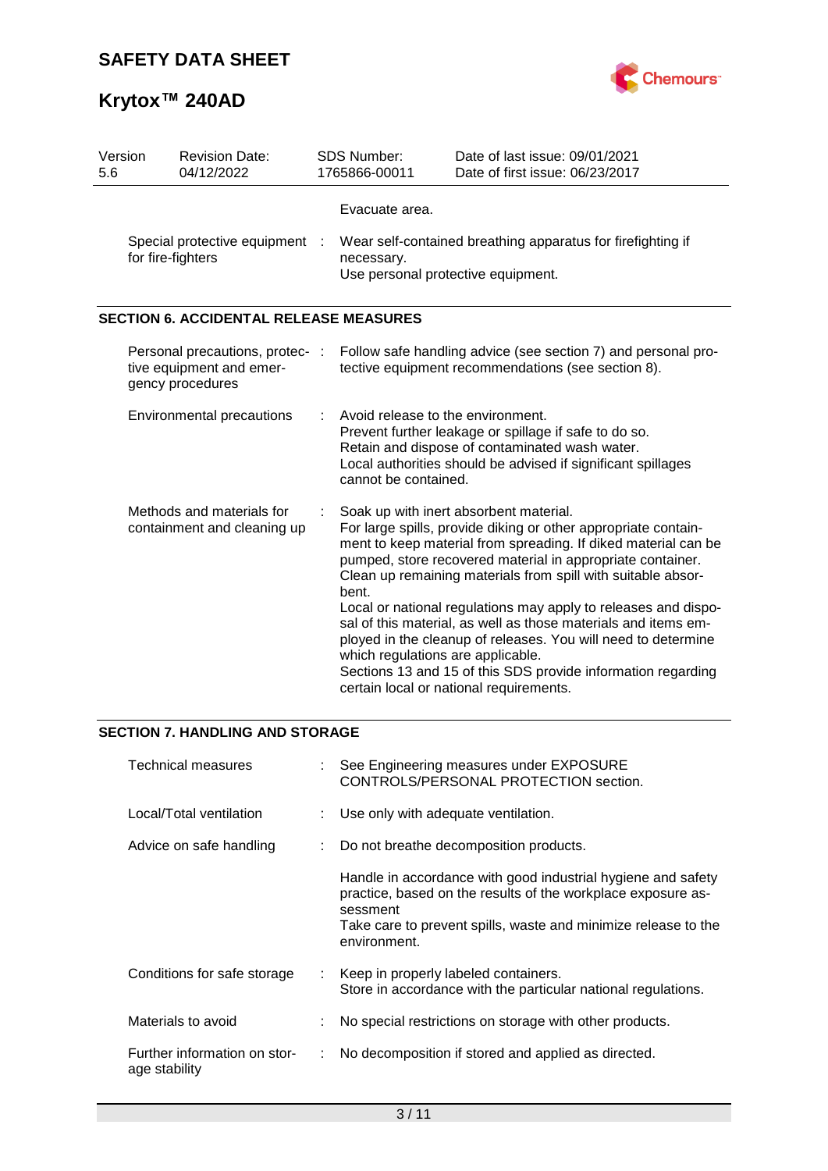

| Version<br>5.6                                           | <b>Revision Date:</b><br>04/12/2022                                             | <b>SDS Number:</b><br>1765866-00011                                                                                                                                                                                                  | Date of last issue: 09/01/2021<br>Date of first issue: 06/23/2017                                                                                                                                                                                                                                                                                                                                                                                                                                                                                                                                                        |  |  |  |
|----------------------------------------------------------|---------------------------------------------------------------------------------|--------------------------------------------------------------------------------------------------------------------------------------------------------------------------------------------------------------------------------------|--------------------------------------------------------------------------------------------------------------------------------------------------------------------------------------------------------------------------------------------------------------------------------------------------------------------------------------------------------------------------------------------------------------------------------------------------------------------------------------------------------------------------------------------------------------------------------------------------------------------------|--|--|--|
|                                                          | Special protective equipment<br>for fire-fighters                               | Evacuate area.<br>Wear self-contained breathing apparatus for firefighting if<br>necessary.<br>Use personal protective equipment.                                                                                                    |                                                                                                                                                                                                                                                                                                                                                                                                                                                                                                                                                                                                                          |  |  |  |
|                                                          | <b>SECTION 6. ACCIDENTAL RELEASE MEASURES</b>                                   |                                                                                                                                                                                                                                      |                                                                                                                                                                                                                                                                                                                                                                                                                                                                                                                                                                                                                          |  |  |  |
|                                                          | Personal precautions, protec- :<br>tive equipment and emer-<br>gency procedures |                                                                                                                                                                                                                                      | Follow safe handling advice (see section 7) and personal pro-<br>tective equipment recommendations (see section 8).                                                                                                                                                                                                                                                                                                                                                                                                                                                                                                      |  |  |  |
|                                                          | <b>Environmental precautions</b>                                                | Avoid release to the environment.<br>Prevent further leakage or spillage if safe to do so.<br>Retain and dispose of contaminated wash water.<br>Local authorities should be advised if significant spillages<br>cannot be contained. |                                                                                                                                                                                                                                                                                                                                                                                                                                                                                                                                                                                                                          |  |  |  |
| Methods and materials for<br>containment and cleaning up |                                                                                 | bent.<br>which regulations are applicable.                                                                                                                                                                                           | Soak up with inert absorbent material.<br>For large spills, provide diking or other appropriate contain-<br>ment to keep material from spreading. If diked material can be<br>pumped, store recovered material in appropriate container.<br>Clean up remaining materials from spill with suitable absor-<br>Local or national regulations may apply to releases and dispo-<br>sal of this material, as well as those materials and items em-<br>ployed in the cleanup of releases. You will need to determine<br>Sections 13 and 15 of this SDS provide information regarding<br>certain local or national requirements. |  |  |  |

## **SECTION 7. HANDLING AND STORAGE**

| Technical measures                            | See Engineering measures under EXPOSURE<br>CONTROLS/PERSONAL PROTECTION section.                                                                                                                                           |
|-----------------------------------------------|----------------------------------------------------------------------------------------------------------------------------------------------------------------------------------------------------------------------------|
| Local/Total ventilation                       | : Use only with adequate ventilation.                                                                                                                                                                                      |
| Advice on safe handling                       | Do not breathe decomposition products.                                                                                                                                                                                     |
|                                               | Handle in accordance with good industrial hygiene and safety<br>practice, based on the results of the workplace exposure as-<br>sessment<br>Take care to prevent spills, waste and minimize release to the<br>environment. |
| Conditions for safe storage                   | Keep in properly labeled containers.<br>Store in accordance with the particular national regulations.                                                                                                                      |
| Materials to avoid                            | No special restrictions on storage with other products.                                                                                                                                                                    |
| Further information on stor-<br>age stability | No decomposition if stored and applied as directed.                                                                                                                                                                        |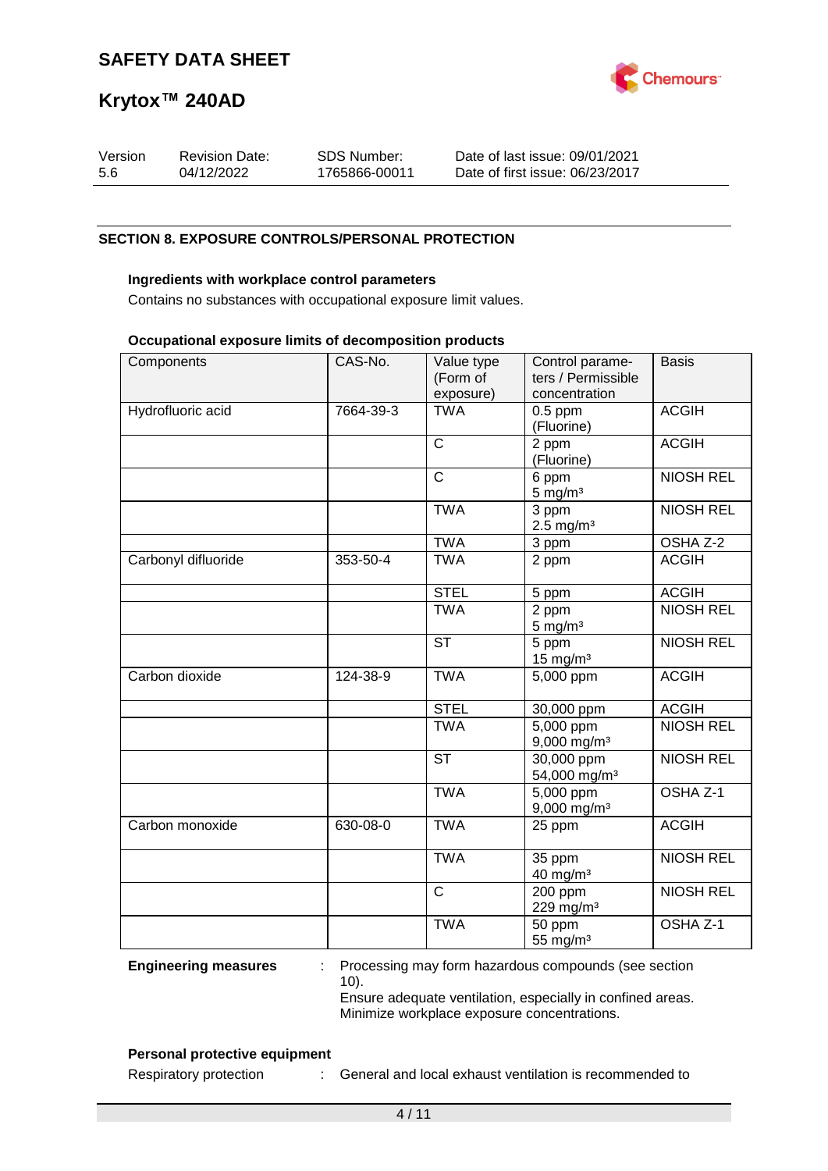

| Version | <b>Revision Date:</b> | SDS Number:   | Date of last issue: 09/01/2021  |
|---------|-----------------------|---------------|---------------------------------|
| -5.6    | 04/12/2022            | 1765866-00011 | Date of first issue: 06/23/2017 |

#### **SECTION 8. EXPOSURE CONTROLS/PERSONAL PROTECTION**

#### **Ingredients with workplace control parameters**

Contains no substances with occupational exposure limit values.

#### **Occupational exposure limits of decomposition products**

| Components          | CAS-No.   | Value type<br>(Form of<br>exposure) | Control parame-<br>ters / Permissible<br>concentration | <b>Basis</b>        |
|---------------------|-----------|-------------------------------------|--------------------------------------------------------|---------------------|
| Hydrofluoric acid   | 7664-39-3 | <b>TWA</b>                          | $0.5$ ppm<br>(Fluorine)                                | <b>ACGIH</b>        |
|                     |           | $\mathsf{C}$                        | 2 ppm<br>(Fluorine)                                    | <b>ACGIH</b>        |
|                     |           | $\overline{C}$                      | 6 ppm<br>$5 \text{ mg/m}^3$                            | <b>NIOSH REL</b>    |
|                     |           | <b>TWA</b>                          | 3 ppm<br>$2.5$ mg/m <sup>3</sup>                       | <b>NIOSH REL</b>    |
|                     |           | <b>TWA</b>                          | 3 ppm                                                  | OSHA Z-2            |
| Carbonyl difluoride | 353-50-4  | <b>TWA</b>                          | 2 ppm                                                  | <b>ACGIH</b>        |
|                     |           | <b>STEL</b>                         | 5 ppm                                                  | <b>ACGIH</b>        |
|                     |           | <b>TWA</b>                          | 2 ppm<br>$5 \text{ mg/m}^3$                            | <b>NIOSH REL</b>    |
|                     |           | <b>ST</b>                           | 5 ppm<br>$15$ mg/m <sup>3</sup>                        | <b>NIOSH REL</b>    |
| Carbon dioxide      | 124-38-9  | <b>TWA</b>                          | 5,000 ppm                                              | <b>ACGIH</b>        |
|                     |           | <b>STEL</b>                         | 30,000 ppm                                             | <b>ACGIH</b>        |
|                     |           | <b>TWA</b>                          | $\overline{5,000}$ ppm<br>$9,000$ mg/m <sup>3</sup>    | <b>NIOSH REL</b>    |
|                     |           | <b>ST</b>                           | $\overline{30,000}$ ppm<br>54,000 mg/m <sup>3</sup>    | <b>NIOSH REL</b>    |
|                     |           | <b>TWA</b>                          | 5,000 ppm<br>9,000 mg/m <sup>3</sup>                   | OSHA <sub>Z-1</sub> |
| Carbon monoxide     | 630-08-0  | <b>TWA</b>                          | 25 ppm                                                 | <b>ACGIH</b>        |
|                     |           | <b>TWA</b>                          | 35 ppm<br>$40$ mg/m <sup>3</sup>                       | <b>NIOSH REL</b>    |
|                     |           | $\overline{C}$                      | 200 ppm<br>229 mg/m <sup>3</sup>                       | <b>NIOSH REL</b>    |
|                     |           | <b>TWA</b>                          | 50 ppm<br>55 mg/ $m3$                                  | OSHA <sub>Z-1</sub> |

**Engineering measures** : Processing may form hazardous compounds (see section 10). Ensure adequate ventilation, especially in confined areas.

Minimize workplace exposure concentrations.

#### **Personal protective equipment**

Respiratory protection : General and local exhaust ventilation is recommended to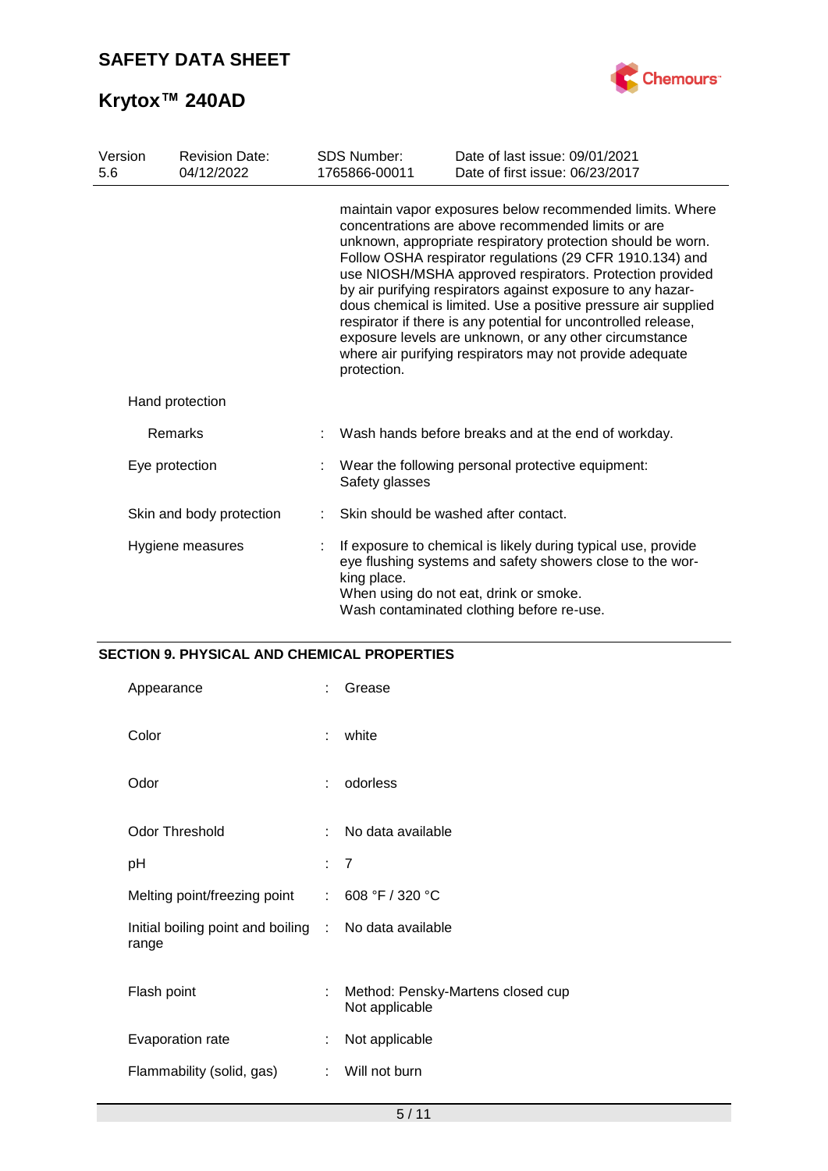

| Version<br>5.6   | <b>Revision Date:</b><br>04/12/2022 |             | <b>SDS Number:</b><br>1765866-00011                                                                                                                                                                                              | Date of last issue: 09/01/2021<br>Date of first issue: 06/23/2017                                                                                                                                                                                                                                                                                                                                                                                                                                                                                                                                                              |  |  |  |
|------------------|-------------------------------------|-------------|----------------------------------------------------------------------------------------------------------------------------------------------------------------------------------------------------------------------------------|--------------------------------------------------------------------------------------------------------------------------------------------------------------------------------------------------------------------------------------------------------------------------------------------------------------------------------------------------------------------------------------------------------------------------------------------------------------------------------------------------------------------------------------------------------------------------------------------------------------------------------|--|--|--|
|                  |                                     | protection. |                                                                                                                                                                                                                                  | maintain vapor exposures below recommended limits. Where<br>concentrations are above recommended limits or are<br>unknown, appropriate respiratory protection should be worn.<br>Follow OSHA respirator regulations (29 CFR 1910.134) and<br>use NIOSH/MSHA approved respirators. Protection provided<br>by air purifying respirators against exposure to any hazar-<br>dous chemical is limited. Use a positive pressure air supplied<br>respirator if there is any potential for uncontrolled release,<br>exposure levels are unknown, or any other circumstance<br>where air purifying respirators may not provide adequate |  |  |  |
|                  | Hand protection                     |             |                                                                                                                                                                                                                                  |                                                                                                                                                                                                                                                                                                                                                                                                                                                                                                                                                                                                                                |  |  |  |
|                  | Remarks                             |             |                                                                                                                                                                                                                                  | Wash hands before breaks and at the end of workday.                                                                                                                                                                                                                                                                                                                                                                                                                                                                                                                                                                            |  |  |  |
|                  | Eye protection                      |             | Wear the following personal protective equipment:<br>Safety glasses                                                                                                                                                              |                                                                                                                                                                                                                                                                                                                                                                                                                                                                                                                                                                                                                                |  |  |  |
|                  | Skin and body protection            |             |                                                                                                                                                                                                                                  | Skin should be washed after contact.                                                                                                                                                                                                                                                                                                                                                                                                                                                                                                                                                                                           |  |  |  |
| Hygiene measures |                                     |             | If exposure to chemical is likely during typical use, provide<br>eye flushing systems and safety showers close to the wor-<br>king place.<br>When using do not eat, drink or smoke.<br>Wash contaminated clothing before re-use. |                                                                                                                                                                                                                                                                                                                                                                                                                                                                                                                                                                                                                                |  |  |  |

## **SECTION 9. PHYSICAL AND CHEMICAL PROPERTIES**

| Appearance                                                     |    | Grease                                              |
|----------------------------------------------------------------|----|-----------------------------------------------------|
| Color                                                          | ÷  | white                                               |
| Odor                                                           |    | odorless                                            |
| <b>Odor Threshold</b>                                          | ÷. | No data available                                   |
| рH                                                             |    | $\overline{7}$                                      |
| Melting point/freezing point                                   | t. | 608 °F / 320 °C                                     |
| Initial boiling point and boiling : No data available<br>range |    |                                                     |
| Flash point                                                    | t. | Method: Pensky-Martens closed cup<br>Not applicable |
| Evaporation rate                                               | ÷. | Not applicable                                      |
| Flammability (solid, gas)                                      | ÷. | Will not burn                                       |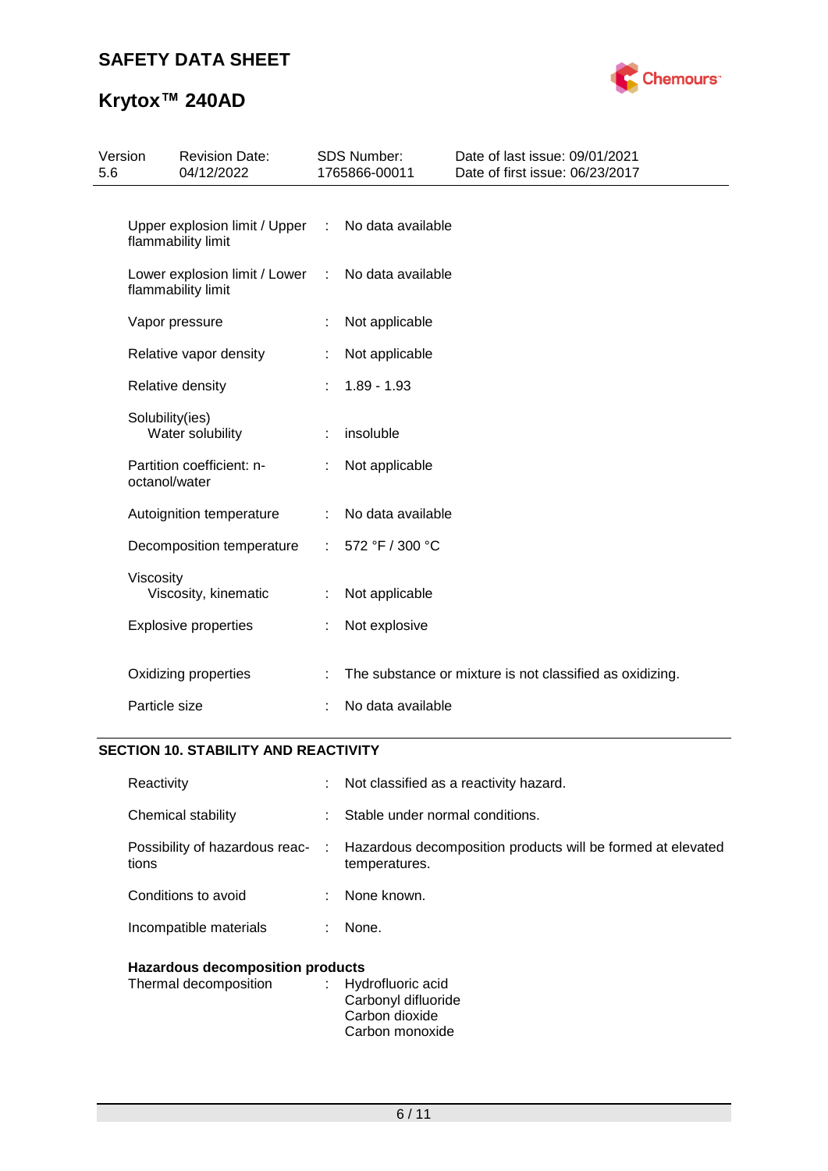# **SAFETY DATA SHEET**



# **Krytox™ 240AD**

| 5.6 | Version         | <b>Revision Date:</b><br>04/12/2022                 |   | <b>SDS Number:</b><br>1765866-00011 | Date of last issue: 09/01/2021<br>Date of first issue: 06/23/2017 |
|-----|-----------------|-----------------------------------------------------|---|-------------------------------------|-------------------------------------------------------------------|
|     |                 | Upper explosion limit / Upper<br>flammability limit | ÷ | No data available                   |                                                                   |
|     |                 | Lower explosion limit / Lower<br>flammability limit | ÷ | No data available                   |                                                                   |
|     |                 | Vapor pressure                                      | t | Not applicable                      |                                                                   |
|     |                 | Relative vapor density                              | ÷ | Not applicable                      |                                                                   |
|     |                 | Relative density                                    | ÷ | $1.89 - 1.93$                       |                                                                   |
|     | Solubility(ies) | Water solubility                                    |   | insoluble                           |                                                                   |
|     | octanol/water   | Partition coefficient: n-                           |   | Not applicable                      |                                                                   |
|     |                 | Autoignition temperature                            |   | No data available                   |                                                                   |
|     |                 | Decomposition temperature                           | ÷ | 572 °F / 300 °C                     |                                                                   |
|     | Viscosity       | Viscosity, kinematic                                |   | Not applicable                      |                                                                   |
|     |                 | <b>Explosive properties</b>                         | t | Not explosive                       |                                                                   |
|     |                 | Oxidizing properties                                |   |                                     | The substance or mixture is not classified as oxidizing.          |
|     | Particle size   |                                                     |   | No data available                   |                                                                   |

### **SECTION 10. STABILITY AND REACTIVITY**

| Reactivity                              |    | $\therefore$ Not classified as a reactivity hazard.                                                           |  |  |  |
|-----------------------------------------|----|---------------------------------------------------------------------------------------------------------------|--|--|--|
| Chemical stability                      |    | Stable under normal conditions.                                                                               |  |  |  |
| tions                                   |    | Possibility of hazardous reac- : Hazardous decomposition products will be formed at elevated<br>temperatures. |  |  |  |
| Conditions to avoid                     |    | : None known.                                                                                                 |  |  |  |
| Incompatible materials                  | ÷. | None.                                                                                                         |  |  |  |
| <b>Hazardous decomposition products</b> |    |                                                                                                               |  |  |  |

| Thermal decomposition | : Hydrofluoric acid |
|-----------------------|---------------------|
|                       | Carbonyl difluoride |
|                       | Carbon dioxide      |
|                       | Carbon monoxide     |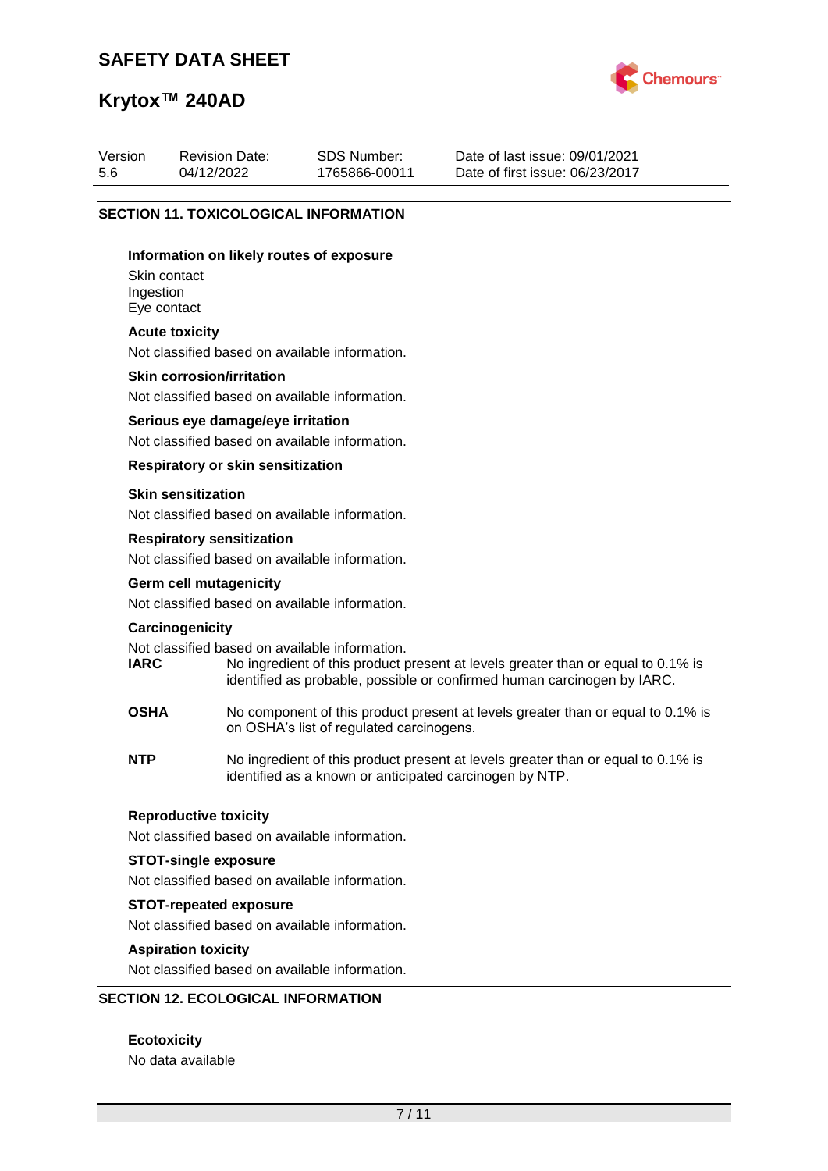## **SAFETY DATA SHEET**



## **Krytox™ 240AD**

| Version<br>5.6                               | <b>Revision Date:</b><br>04/12/2022 | <b>SDS Number:</b><br>1765866-00011 | Date of last issue: 09/01/2021<br>Date of first issue: 06/23/2017 |  |  |  |  |
|----------------------------------------------|-------------------------------------|-------------------------------------|-------------------------------------------------------------------|--|--|--|--|
| <b>SECTION 11. TOXICOLOGICAL INFORMATION</b> |                                     |                                     |                                                                   |  |  |  |  |
| Information on likely routes of exposure     |                                     |                                     |                                                                   |  |  |  |  |
| Skin contact<br>Ingestion                    |                                     |                                     |                                                                   |  |  |  |  |

Eye contact

#### **Acute toxicity**

Not classified based on available information.

#### **Skin corrosion/irritation**

Not classified based on available information.

#### **Serious eye damage/eye irritation**

Not classified based on available information.

#### **Respiratory or skin sensitization**

#### **Skin sensitization**

Not classified based on available information.

#### **Respiratory sensitization**

Not classified based on available information.

# **Germ cell mutagenicity**

Not classified based on available information.

#### **Carcinogenicity**

Not classified based on available information.<br> **IARC** Mo ingredient of this product p

- No ingredient of this product present at levels greater than or equal to 0.1% is identified as probable, possible or confirmed human carcinogen by IARC.
- **OSHA** No component of this product present at levels greater than or equal to 0.1% is on OSHA's list of regulated carcinogens.
- **NTP** No ingredient of this product present at levels greater than or equal to 0.1% is identified as a known or anticipated carcinogen by NTP.

#### **Reproductive toxicity**

Not classified based on available information.

#### **STOT-single exposure**

Not classified based on available information.

#### **STOT-repeated exposure**

Not classified based on available information.

#### **Aspiration toxicity**

Not classified based on available information.

### **SECTION 12. ECOLOGICAL INFORMATION**

**Ecotoxicity** No data available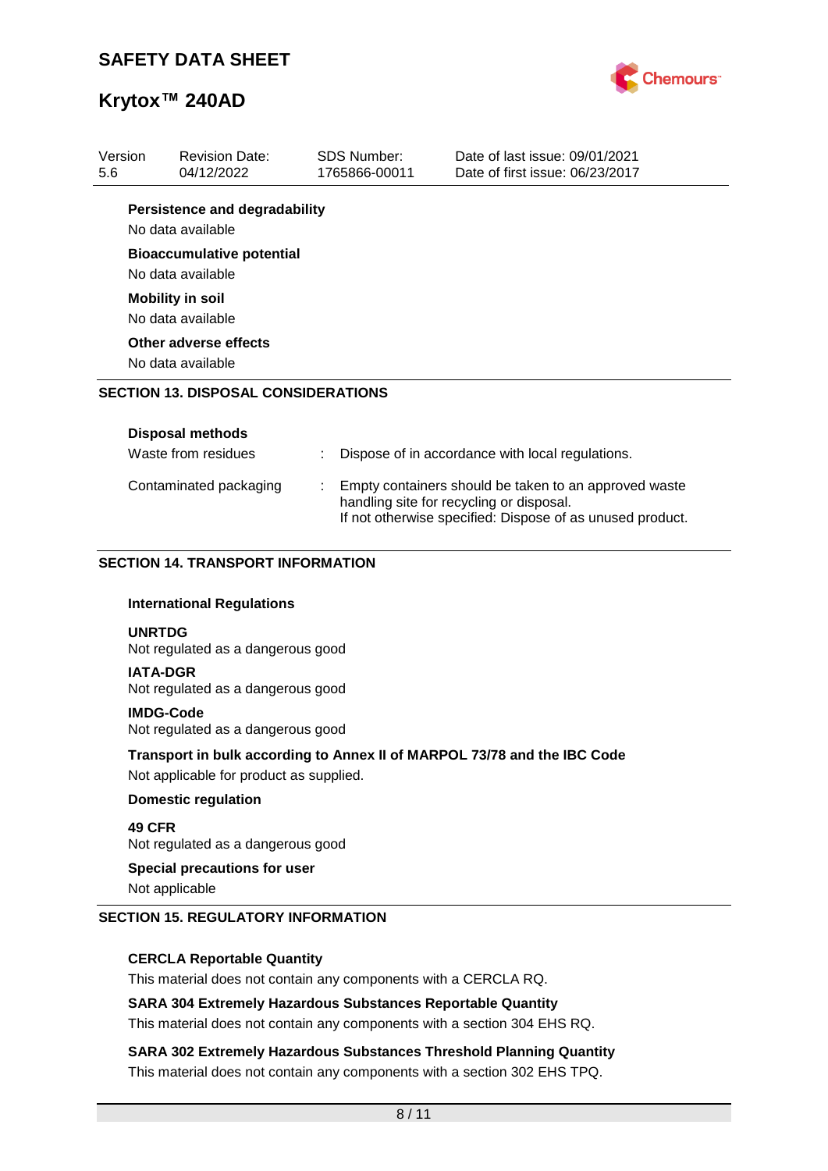

| Version<br>5.6 | <b>Revision Date:</b><br>04/12/2022                       |                                                                                                                                                                | <b>SDS Number:</b><br>1765866-00011 | Date of last issue: 09/01/2021<br>Date of first issue: 06/23/2017        |  |
|----------------|-----------------------------------------------------------|----------------------------------------------------------------------------------------------------------------------------------------------------------------|-------------------------------------|--------------------------------------------------------------------------|--|
|                | <b>Persistence and degradability</b><br>No data available |                                                                                                                                                                |                                     |                                                                          |  |
|                | <b>Bioaccumulative potential</b><br>No data available     |                                                                                                                                                                |                                     |                                                                          |  |
|                | <b>Mobility in soil</b><br>No data available              |                                                                                                                                                                |                                     |                                                                          |  |
|                | Other adverse effects<br>No data available                |                                                                                                                                                                |                                     |                                                                          |  |
|                | <b>SECTION 13. DISPOSAL CONSIDERATIONS</b>                |                                                                                                                                                                |                                     |                                                                          |  |
|                | <b>Disposal methods</b><br>Waste from residues            |                                                                                                                                                                |                                     | Dispose of in accordance with local regulations.                         |  |
|                | Contaminated packaging                                    | Empty containers should be taken to an approved waste<br>handling site for recycling or disposal.<br>If not otherwise specified: Dispose of as unused product. |                                     |                                                                          |  |
|                | <b>SECTION 14. TRANSPORT INFORMATION</b>                  |                                                                                                                                                                |                                     |                                                                          |  |
|                | <b>International Regulations</b>                          |                                                                                                                                                                |                                     |                                                                          |  |
|                | <b>UNRTDG</b><br>Not regulated as a dangerous good        |                                                                                                                                                                |                                     |                                                                          |  |
|                | <b>IATA-DGR</b><br>Not regulated as a dangerous good      |                                                                                                                                                                |                                     |                                                                          |  |
|                | <b>IMDG-Code</b><br>Not regulated as a dangerous good     |                                                                                                                                                                |                                     |                                                                          |  |
|                | Not applicable for product as supplied.                   |                                                                                                                                                                |                                     | Transport in bulk according to Annex II of MARPOL 73/78 and the IBC Code |  |
|                | <b>Domestic regulation</b>                                |                                                                                                                                                                |                                     |                                                                          |  |
| 49 CFR         | Not regulated as a dangerous good                         |                                                                                                                                                                |                                     |                                                                          |  |
|                | <b>Special precautions for user</b><br>Not applicable     |                                                                                                                                                                |                                     |                                                                          |  |

#### **SECTION 15. REGULATORY INFORMATION**

#### **CERCLA Reportable Quantity**

This material does not contain any components with a CERCLA RQ.

#### **SARA 304 Extremely Hazardous Substances Reportable Quantity**

This material does not contain any components with a section 304 EHS RQ.

**SARA 302 Extremely Hazardous Substances Threshold Planning Quantity** This material does not contain any components with a section 302 EHS TPQ.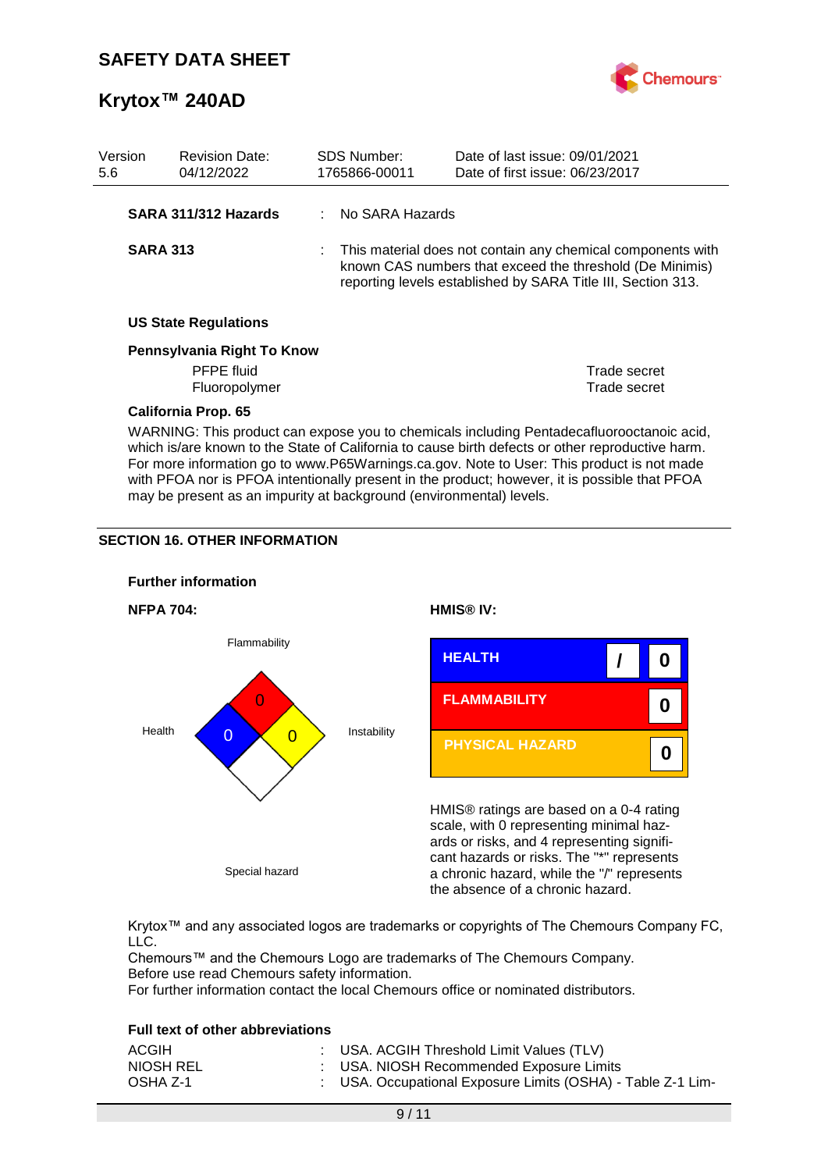

| Version<br>5.6 |                                                                                                                                                                                                                                                                                            | <b>Revision Date:</b><br>04/12/2022 |  | <b>SDS Number:</b><br>1765866-00011 | Date of last issue: 09/01/2021<br>Date of first issue: 06/23/2017                                                                                                                       |
|----------------|--------------------------------------------------------------------------------------------------------------------------------------------------------------------------------------------------------------------------------------------------------------------------------------------|-------------------------------------|--|-------------------------------------|-----------------------------------------------------------------------------------------------------------------------------------------------------------------------------------------|
|                |                                                                                                                                                                                                                                                                                            | SARA 311/312 Hazards                |  | No SARA Hazards                     |                                                                                                                                                                                         |
|                | <b>SARA 313</b>                                                                                                                                                                                                                                                                            |                                     |  |                                     | This material does not contain any chemical components with<br>known CAS numbers that exceed the threshold (De Minimis)<br>reporting levels established by SARA Title III, Section 313. |
|                |                                                                                                                                                                                                                                                                                            | <b>US State Regulations</b>         |  |                                     |                                                                                                                                                                                         |
|                |                                                                                                                                                                                                                                                                                            | Pennsylvania Right To Know          |  |                                     |                                                                                                                                                                                         |
|                |                                                                                                                                                                                                                                                                                            | <b>PFPE</b> fluid<br>Fluoropolymer  |  |                                     | Trade secret<br>Trade secret                                                                                                                                                            |
|                |                                                                                                                                                                                                                                                                                            | California Prop. 65                 |  |                                     |                                                                                                                                                                                         |
|                | WARNING: This product can expose you to chemicals including Pentadecafluorooctanoic acid,<br>which is/are known to the State of California to cause birth defects or other reproductive harm.<br>For more information go to www.P65Warnings.ca.gov. Note to User: This product is not made |                                     |  |                                     |                                                                                                                                                                                         |

with PFOA nor is PFOA intentionally present in the product; however, it is possible that PFOA

may be present as an impurity at background (environmental) levels.

#### **SECTION 16. OTHER INFORMATION**



Krytox™ and any associated logos are trademarks or copyrights of The Chemours Company FC, LLC.

Chemours™ and the Chemours Logo are trademarks of The Chemours Company. Before use read Chemours safety information.

For further information contact the local Chemours office or nominated distributors.

#### **Full text of other abbreviations**

| ACGIH     | : USA. ACGIH Threshold Limit Values (TLV)                   |
|-----------|-------------------------------------------------------------|
| NIOSH REL | : USA. NIOSH Recommended Exposure Limits                    |
| OSHA Z-1  | : USA. Occupational Exposure Limits (OSHA) - Table Z-1 Lim- |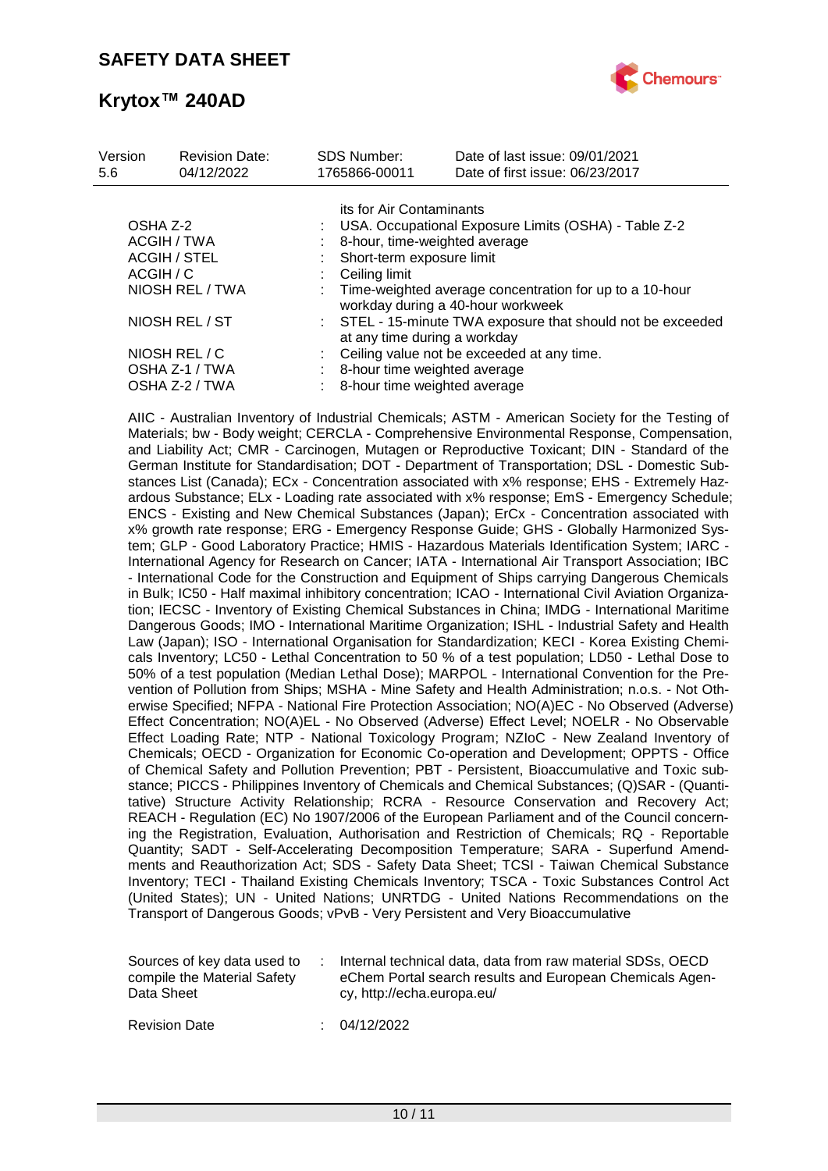

| Version<br>5.6      | <b>Revision Date:</b><br>04/12/2022 | <b>SDS Number:</b><br>1765866-00011                                                          | Date of last issue: 09/01/2021<br>Date of first issue: 06/23/2017 |  |  |  |
|---------------------|-------------------------------------|----------------------------------------------------------------------------------------------|-------------------------------------------------------------------|--|--|--|
|                     |                                     | its for Air Contaminants                                                                     |                                                                   |  |  |  |
| OSHA Z-2            |                                     |                                                                                              | USA. Occupational Exposure Limits (OSHA) - Table Z-2              |  |  |  |
| ACGIH / TWA         |                                     | 8-hour, time-weighted average                                                                |                                                                   |  |  |  |
| <b>ACGIH / STEL</b> |                                     | Short-term exposure limit                                                                    |                                                                   |  |  |  |
| ACGIH / C           |                                     | Ceiling limit                                                                                |                                                                   |  |  |  |
| NIOSH REL / TWA     |                                     | Time-weighted average concentration for up to a 10-hour<br>workday during a 40-hour workweek |                                                                   |  |  |  |
| NIOSH REL / ST      |                                     | : STEL - 15-minute TWA exposure that should not be exceeded<br>at any time during a workday  |                                                                   |  |  |  |
|                     | NIOSH REL / C                       |                                                                                              | Ceiling value not be exceeded at any time.                        |  |  |  |
|                     | OSHA Z-1 / TWA                      | 8-hour time weighted average                                                                 |                                                                   |  |  |  |
|                     | OSHA Z-2 / TWA                      | 8-hour time weighted average                                                                 |                                                                   |  |  |  |

AIIC - Australian Inventory of Industrial Chemicals; ASTM - American Society for the Testing of Materials; bw - Body weight; CERCLA - Comprehensive Environmental Response, Compensation, and Liability Act; CMR - Carcinogen, Mutagen or Reproductive Toxicant; DIN - Standard of the German Institute for Standardisation; DOT - Department of Transportation; DSL - Domestic Substances List (Canada); ECx - Concentration associated with x% response; EHS - Extremely Hazardous Substance; ELx - Loading rate associated with x% response; EmS - Emergency Schedule; ENCS - Existing and New Chemical Substances (Japan); ErCx - Concentration associated with x% growth rate response; ERG - Emergency Response Guide; GHS - Globally Harmonized System; GLP - Good Laboratory Practice; HMIS - Hazardous Materials Identification System; IARC - International Agency for Research on Cancer; IATA - International Air Transport Association; IBC - International Code for the Construction and Equipment of Ships carrying Dangerous Chemicals in Bulk; IC50 - Half maximal inhibitory concentration; ICAO - International Civil Aviation Organization; IECSC - Inventory of Existing Chemical Substances in China; IMDG - International Maritime Dangerous Goods; IMO - International Maritime Organization; ISHL - Industrial Safety and Health Law (Japan); ISO - International Organisation for Standardization; KECI - Korea Existing Chemicals Inventory; LC50 - Lethal Concentration to 50 % of a test population; LD50 - Lethal Dose to 50% of a test population (Median Lethal Dose); MARPOL - International Convention for the Prevention of Pollution from Ships; MSHA - Mine Safety and Health Administration; n.o.s. - Not Otherwise Specified; NFPA - National Fire Protection Association; NO(A)EC - No Observed (Adverse) Effect Concentration; NO(A)EL - No Observed (Adverse) Effect Level; NOELR - No Observable Effect Loading Rate; NTP - National Toxicology Program; NZIoC - New Zealand Inventory of Chemicals; OECD - Organization for Economic Co-operation and Development; OPPTS - Office of Chemical Safety and Pollution Prevention; PBT - Persistent, Bioaccumulative and Toxic substance; PICCS - Philippines Inventory of Chemicals and Chemical Substances; (Q)SAR - (Quantitative) Structure Activity Relationship; RCRA - Resource Conservation and Recovery Act; REACH - Regulation (EC) No 1907/2006 of the European Parliament and of the Council concerning the Registration, Evaluation, Authorisation and Restriction of Chemicals; RQ - Reportable Quantity; SADT - Self-Accelerating Decomposition Temperature; SARA - Superfund Amendments and Reauthorization Act; SDS - Safety Data Sheet; TCSI - Taiwan Chemical Substance Inventory; TECI - Thailand Existing Chemicals Inventory; TSCA - Toxic Substances Control Act (United States); UN - United Nations; UNRTDG - United Nations Recommendations on the Transport of Dangerous Goods; vPvB - Very Persistent and Very Bioaccumulative

| Sources of key data used to | Internal technical data, data from raw material SDSs, OECD |
|-----------------------------|------------------------------------------------------------|
| compile the Material Safety | eChem Portal search results and European Chemicals Agen-   |
| Data Sheet                  | cy, http://echa.europa.eu/                                 |

Revision Date : 04/12/2022